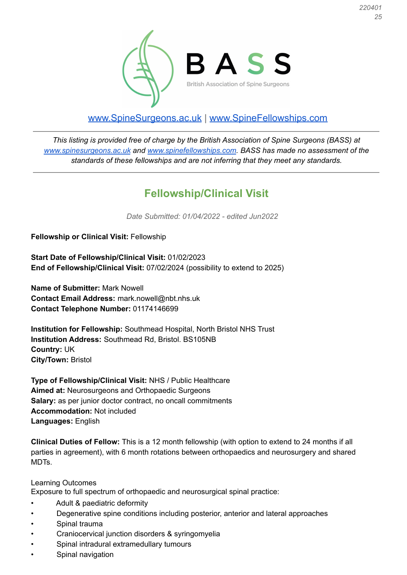

## [www.SpineSurgeons.ac.uk](http://www.spinesurgeons.ac.uk) | [www.SpineFellowships.com](http://www.spinefellowships.com)

*This listing is provided free of charge by the British Association of Spine Surgeons (BASS) at [www.spinesurgeons.ac.uk](http://www.spinesurgeons.ac.uk) and [www.spinefellowships.com.](http://www.spinefellowships.com) BASS has made no assessment of the standards of these fellowships and are not inferring that they meet any standards.*

## **Fellowship/Clinical Visit**

*Date Submitted: 01/04/2022 - edited Jun2022*

**Fellowship or Clinical Visit:** Fellowship

**Start Date of Fellowship/Clinical Visit:** 01/02/2023 **End of Fellowship/Clinical Visit:** 07/02/2024 (possibility to extend to 2025)

**Name of Submitter:** Mark Nowell **Contact Email Address:** mark.nowell@nbt.nhs.uk **Contact Telephone Number:** 01174146699

**Institution for Fellowship:** Southmead Hospital, North Bristol NHS Trust **Institution Address:** Southmead Rd, Bristol. BS105NB **Country:** UK **City/Town:** Bristol

**Type of Fellowship/Clinical Visit:** NHS / Public Healthcare **Aimed at:** Neurosurgeons and Orthopaedic Surgeons **Salary:** as per junior doctor contract, no oncall commitments **Accommodation:** Not included **Languages:** English

**Clinical Duties of Fellow:** This is a 12 month fellowship (with option to extend to 24 months if all parties in agreement), with 6 month rotations between orthopaedics and neurosurgery and shared MDTs.

## Learning Outcomes

Exposure to full spectrum of orthopaedic and neurosurgical spinal practice:

- Adult & paediatric deformity
- Degenerative spine conditions including posterior, anterior and lateral approaches
- Spinal trauma
- Craniocervical junction disorders & syringomyelia
- Spinal intradural extramedullary tumours
- Spinal navigation